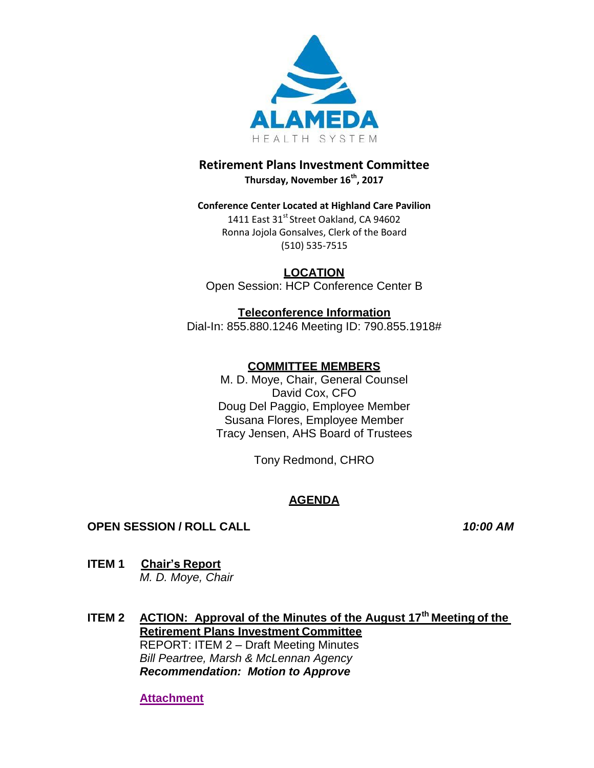

### **Retirement Plans Investment Committee Thursday, November 16th, 2017**

### **Conference Center Located at Highland Care Pavilion** 1411 East 31<sup>st</sup> Street Oakland, CA 94602 Ronna Jojola Gonsalves, Clerk of the Board (510) 535-7515

**LOCATION** Open Session: HCP Conference Center B

# **Teleconference Information**

Dial-In: 855.880.1246 Meeting ID: 790.855.1918#

# **COMMITTEE MEMBERS**

M. D. Moye, Chair, General Counsel David Cox, CFO Doug Del Paggio, Employee Member Susana Flores, Employee Member Tracy Jensen, AHS Board of Trustees

Tony Redmond, CHRO

# **AGENDA**

## **OPEN SESSION / ROLL CALL** *10:00 AM*

- **ITEM 1 Chair's Report** *M. D. Moye, Chair*
- **ITEM 2 ACTION: Approval of the Minutes of the August 17th Meeting of the Retirement Plans Investment Committee** REPORT: ITEM 2 – Draft Meeting Minutes *Bill Peartree, Marsh & McLennan Agency Recommendation: Motion to Approve*

**[Attachment](http://www.alamedahealthsystem.org/wp-content/uploads/2017/11/ITEM-2-Draft-Meeting-Minutes.pdf)**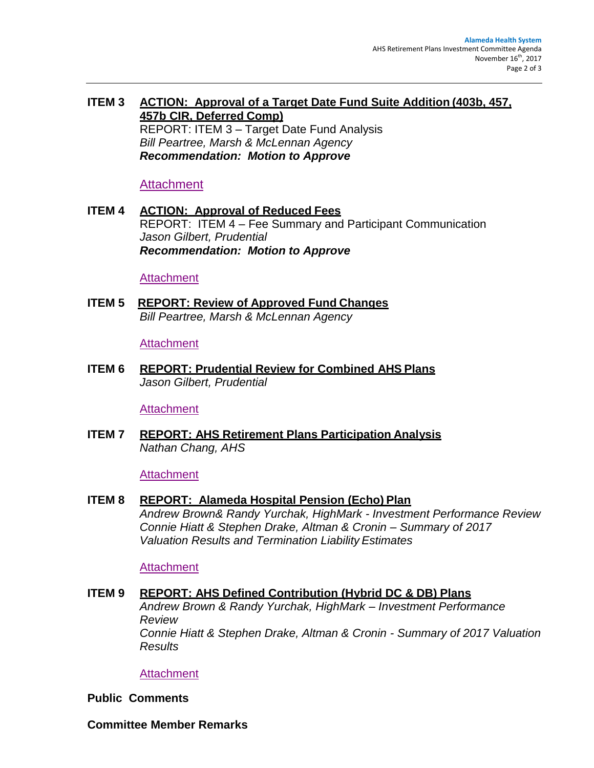### **ITEM 3 ACTION: Approval of a Target Date Fund Suite Addition (403b, 457, 457b CIR, Deferred Comp)** REPORT: ITEM 3 – Target Date Fund Analysis *Bill Peartree, Marsh & McLennan Agency Recommendation: Motion to Approve*

### [Attachment](http://www.alamedahealthsystem.org/wp-content/uploads/2017/11/ITEM-3-Target-Date-Fund-Analysis.pdf)

**ITEM 4 ACTION: Approval of Reduced Fees** REPORT: ITEM 4 – Fee Summary and Participant Communication *Jason Gilbert, Prudential Recommendation: Motion to Approve*

#### [Attachment](http://www.alamedahealthsystem.org/wp-content/uploads/2017/11/ITEM-4-Fee-Summary-and-Participant-Communication.pdf)

**ITEM 5 REPORT: Review of Approved Fund Changes** *Bill Peartree, Marsh & McLennan Agency*

#### **[Attachment](http://www.alamedahealthsystem.org/wp-content/uploads/2017/11/ITEM-5-Approved-Fund-Changes.pdf)**

**ITEM 6 REPORT: Prudential Review for Combined AHS Plans** *Jason Gilbert, Prudential*

#### **[Attachment](http://www.alamedahealthsystem.org/wp-content/uploads/2017/11/ITEM-6-Prudential-Review-for-Combined-AHS-Plans.pdf)**

**ITEM 7 REPORT: AHS Retirement Plans Participation Analysis** *Nathan Chang, AHS*

#### **[Attachment](http://www.alamedahealthsystem.org/wp-content/uploads/2017/11/ITEM-7-AHS-Retirement-Plans-Participation-Analysis.pdf)**

#### **ITEM 8 REPORT: Alameda Hospital Pension (Echo) Plan**

*Andrew Brown& Randy Yurchak, HighMark - Investment Performance Review Connie Hiatt & Stephen Drake, Altman & Cronin – Summary of 2017 Valuation Results and Termination Liability Estimates*

#### [Attachment](http://www.alamedahealthsystem.org/wp-content/uploads/2017/11/Item-8-Combined.pdf)

#### **ITEM 9 REPORT: AHS Defined Contribution (Hybrid DC & DB) Plans**

*Andrew Brown & Randy Yurchak, HighMark – Investment Performance Review Connie Hiatt & Stephen Drake, Altman & Cronin - Summary of 2017 Valuation Results*

#### **[Attachment](http://www.alamedahealthsystem.org/wp-content/uploads/2017/11/Item-9-Combined.pdf)**

#### **Public Comments**

**Committee Member Remarks**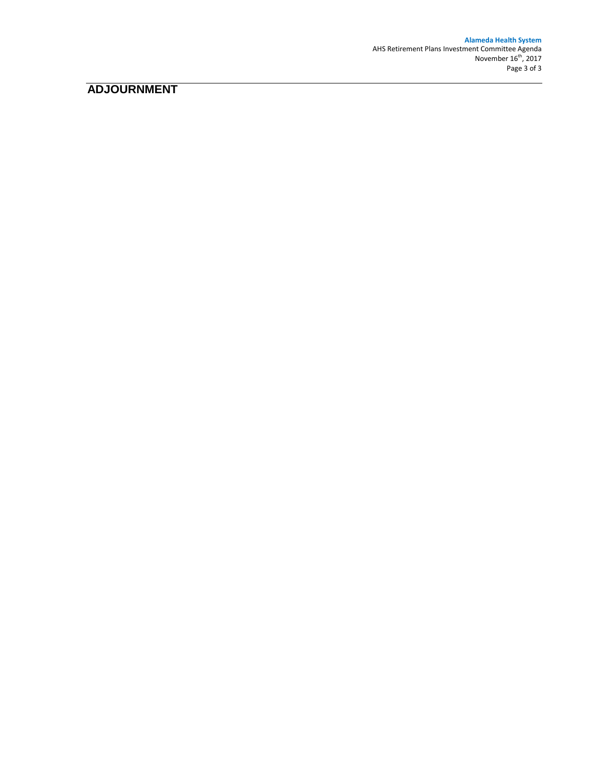**Alameda Health System** AHS Retirement Plans Investment Committee Agenda November  $16^{\text{th}}$ , 2017 Page 3 of 3

# **ADJOURNMENT**